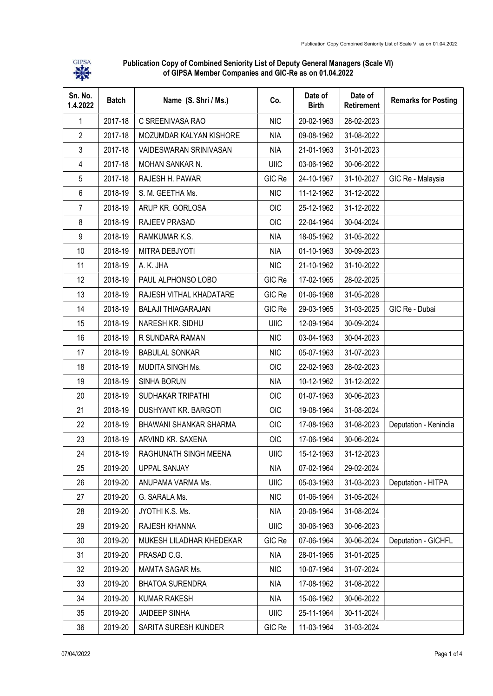

Publication Copy of Combined Seniority List of Deputy General Managers (Scale VI) of GIPSA Member Companies and GIC-Re as on 01.04.2022

| Sn. No.<br>1.4.2022 | <b>Batch</b> | Name (S. Shri / Ms.)      | Co.         | Date of<br><b>Birth</b> | Date of<br>Retirement | <b>Remarks for Posting</b> |
|---------------------|--------------|---------------------------|-------------|-------------------------|-----------------------|----------------------------|
| $\mathbf 1$         | 2017-18      | C SREENIVASA RAO          | <b>NIC</b>  | 20-02-1963              | 28-02-2023            |                            |
| $\overline{2}$      | 2017-18      | MOZUMDAR KALYAN KISHORE   | <b>NIA</b>  | 09-08-1962              | 31-08-2022            |                            |
| 3                   | 2017-18      | VAIDESWARAN SRINIVASAN    | <b>NIA</b>  | 21-01-1963              | 31-01-2023            |                            |
| 4                   | 2017-18      | MOHAN SANKAR N.           | UIIC        | 03-06-1962              | 30-06-2022            |                            |
| 5                   | 2017-18      | RAJESH H. PAWAR           | GIC Re      | 24-10-1967              | 31-10-2027            | GIC Re - Malaysia          |
| 6                   | 2018-19      | S. M. GEETHA Ms.          | <b>NIC</b>  | 11-12-1962              | 31-12-2022            |                            |
| 7                   | 2018-19      | ARUP KR. GORLOSA          | <b>OIC</b>  | 25-12-1962              | 31-12-2022            |                            |
| 8                   | 2018-19      | RAJEEV PRASAD             | <b>OIC</b>  | 22-04-1964              | 30-04-2024            |                            |
| 9                   | 2018-19      | RAMKUMAR K.S.             | <b>NIA</b>  | 18-05-1962              | 31-05-2022            |                            |
| 10                  | 2018-19      | MITRA DEBJYOTI            | <b>NIA</b>  | 01-10-1963              | 30-09-2023            |                            |
| 11                  | 2018-19      | A. K. JHA                 | <b>NIC</b>  | 21-10-1962              | 31-10-2022            |                            |
| 12                  | 2018-19      | PAUL ALPHONSO LOBO        | GIC Re      | 17-02-1965              | 28-02-2025            |                            |
| 13                  | 2018-19      | RAJESH VITHAL KHADATARE   | GIC Re      | 01-06-1968              | 31-05-2028            |                            |
| 14                  | 2018-19      | <b>BALAJI THIAGARAJAN</b> | GIC Re      | 29-03-1965              | 31-03-2025            | GIC Re - Dubai             |
| 15                  | 2018-19      | NARESH KR. SIDHU          | UIIC        | 12-09-1964              | 30-09-2024            |                            |
| 16                  | 2018-19      | R SUNDARA RAMAN           | <b>NIC</b>  | 03-04-1963              | 30-04-2023            |                            |
| 17                  | 2018-19      | <b>BABULAL SONKAR</b>     | <b>NIC</b>  | 05-07-1963              | 31-07-2023            |                            |
| 18                  | 2018-19      | MUDITA SINGH Ms.          | <b>OIC</b>  | 22-02-1963              | 28-02-2023            |                            |
| 19                  | 2018-19      | SINHA BORUN               | <b>NIA</b>  | 10-12-1962              | 31-12-2022            |                            |
| 20                  | 2018-19      | SUDHAKAR TRIPATHI         | <b>OIC</b>  | 01-07-1963              | 30-06-2023            |                            |
| 21                  | 2018-19      | DUSHYANT KR. BARGOTI      | <b>OIC</b>  | 19-08-1964              | 31-08-2024            |                            |
| 22                  | 2018-19      | BHAWANI SHANKAR SHARMA    | <b>OIC</b>  | 17-08-1963              | 31-08-2023            | Deputation - Kenindia      |
| 23                  | 2018-19      | ARVIND KR. SAXENA         | <b>OIC</b>  | 17-06-1964              | 30-06-2024            |                            |
| 24                  | 2018-19      | RAGHUNATH SINGH MEENA     | <b>UIIC</b> | 15-12-1963              | 31-12-2023            |                            |
| 25                  | 2019-20      | <b>UPPAL SANJAY</b>       | <b>NIA</b>  | 07-02-1964              | 29-02-2024            |                            |
| 26                  | 2019-20      | ANUPAMA VARMA Ms.         | UIIC        | 05-03-1963              | 31-03-2023            | Deputation - HITPA         |
| 27                  | 2019-20      | G. SARALA Ms.             | <b>NIC</b>  | 01-06-1964              | 31-05-2024            |                            |
| 28                  | 2019-20      | JYOTHI K.S. Ms.           | <b>NIA</b>  | 20-08-1964              | 31-08-2024            |                            |
| 29                  | 2019-20      | RAJESH KHANNA             | UIIC        | 30-06-1963              | 30-06-2023            |                            |
| 30                  | 2019-20      | MUKESH LILADHAR KHEDEKAR  | GIC Re      | 07-06-1964              | 30-06-2024            | Deputation - GICHFL        |
| 31                  | 2019-20      | PRASAD C.G.               | <b>NIA</b>  | 28-01-1965              | 31-01-2025            |                            |
| 32                  | 2019-20      | MAMTA SAGAR Ms.           | <b>NIC</b>  | 10-07-1964              | 31-07-2024            |                            |
| 33                  | 2019-20      | <b>BHATOA SURENDRA</b>    | <b>NIA</b>  | 17-08-1962              | 31-08-2022            |                            |
| 34                  | 2019-20      | <b>KUMAR RAKESH</b>       | <b>NIA</b>  | 15-06-1962              | 30-06-2022            |                            |
| 35                  | 2019-20      | <b>JAIDEEP SINHA</b>      | UIIC        | 25-11-1964              | 30-11-2024            |                            |
| 36                  | 2019-20      | SARITA SURESH KUNDER      | GIC Re      | 11-03-1964              | 31-03-2024            |                            |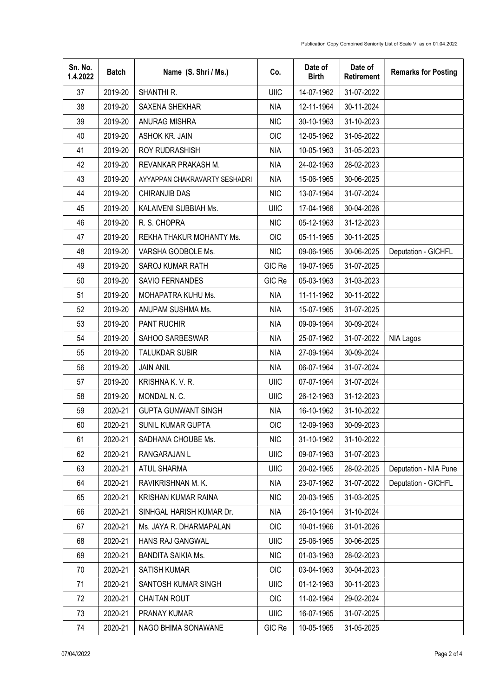| Sn. No.<br>1.4.2022 | <b>Batch</b> | Name (S. Shri / Ms.)          | Co.         | Date of<br><b>Birth</b> | Date of<br>Retirement | <b>Remarks for Posting</b> |
|---------------------|--------------|-------------------------------|-------------|-------------------------|-----------------------|----------------------------|
| 37                  | 2019-20      | SHANTHI R.                    | UIIC        | 14-07-1962              | 31-07-2022            |                            |
| 38                  | 2019-20      | SAXENA SHEKHAR                | <b>NIA</b>  | 12-11-1964              | 30-11-2024            |                            |
| 39                  | 2019-20      | ANURAG MISHRA                 | <b>NIC</b>  | 30-10-1963              | 31-10-2023            |                            |
| 40                  | 2019-20      | ASHOK KR. JAIN                | <b>OIC</b>  | 12-05-1962              | 31-05-2022            |                            |
| 41                  | 2019-20      | ROY RUDRASHISH                | <b>NIA</b>  | 10-05-1963              | 31-05-2023            |                            |
| 42                  | 2019-20      | REVANKAR PRAKASH M.           | <b>NIA</b>  | 24-02-1963              | 28-02-2023            |                            |
| 43                  | 2019-20      | AYYAPPAN CHAKRAVARTY SESHADRI | <b>NIA</b>  | 15-06-1965              | 30-06-2025            |                            |
| 44                  | 2019-20      | <b>CHIRANJIB DAS</b>          | <b>NIC</b>  | 13-07-1964              | 31-07-2024            |                            |
| 45                  | 2019-20      | KALAIVENI SUBBIAH Ms.         | UIIC        | 17-04-1966              | 30-04-2026            |                            |
| 46                  | 2019-20      | R. S. CHOPRA                  | <b>NIC</b>  | 05-12-1963              | 31-12-2023            |                            |
| 47                  | 2019-20      | REKHA THAKUR MOHANTY Ms.      | <b>OIC</b>  | 05-11-1965              | 30-11-2025            |                            |
| 48                  | 2019-20      | VARSHA GODBOLE Ms.            | <b>NIC</b>  | 09-06-1965              | 30-06-2025            | Deputation - GICHFL        |
| 49                  | 2019-20      | SAROJ KUMAR RATH              | GIC Re      | 19-07-1965              | 31-07-2025            |                            |
| 50                  | 2019-20      | SAVIO FERNANDES               | GIC Re      | 05-03-1963              | 31-03-2023            |                            |
| 51                  | 2019-20      | MOHAPATRA KUHU Ms.            | <b>NIA</b>  | 11-11-1962              | 30-11-2022            |                            |
| 52                  | 2019-20      | ANUPAM SUSHMA Ms.             | <b>NIA</b>  | 15-07-1965              | 31-07-2025            |                            |
| 53                  | 2019-20      | PANT RUCHIR                   | <b>NIA</b>  | 09-09-1964              | 30-09-2024            |                            |
| 54                  | 2019-20      | SAHOO SARBESWAR               | <b>NIA</b>  | 25-07-1962              | 31-07-2022            | <b>NIA Lagos</b>           |
| 55                  | 2019-20      | <b>TALUKDAR SUBIR</b>         | <b>NIA</b>  | 27-09-1964              | 30-09-2024            |                            |
| 56                  | 2019-20      | <b>JAIN ANIL</b>              | NIA         | 06-07-1964              | 31-07-2024            |                            |
| 57                  | 2019-20      | KRISHNA K. V. R.              | UIIC        | 07-07-1964              | 31-07-2024            |                            |
| 58                  | 2019-20      | MONDAL N.C.                   | <b>UIIC</b> | 26-12-1963              | 31-12-2023            |                            |
| 59                  | 2020-21      | <b>GUPTA GUNWANT SINGH</b>    | <b>NIA</b>  | 16-10-1962              | 31-10-2022            |                            |
| 60                  | 2020-21      | SUNIL KUMAR GUPTA             | <b>OIC</b>  | 12-09-1963              | 30-09-2023            |                            |
| 61                  | 2020-21      | SADHANA CHOUBE Ms.            | <b>NIC</b>  | 31-10-1962              | 31-10-2022            |                            |
| 62                  | 2020-21      | RANGARAJAN L                  | UIIC        | 09-07-1963              | 31-07-2023            |                            |
| 63                  | 2020-21      | ATUL SHARMA                   | UIIC        | 20-02-1965              | 28-02-2025            | Deputation - NIA Pune      |
| 64                  | 2020-21      | RAVIKRISHNAN M. K.            | <b>NIA</b>  | 23-07-1962              | 31-07-2022            | Deputation - GICHFL        |
| 65                  | 2020-21      | KRISHAN KUMAR RAINA           | <b>NIC</b>  | 20-03-1965              | 31-03-2025            |                            |
| 66                  | 2020-21      | SINHGAL HARISH KUMAR Dr.      | <b>NIA</b>  | 26-10-1964              | 31-10-2024            |                            |
| 67                  | 2020-21      | Ms. JAYA R. DHARMAPALAN       | OIC         | 10-01-1966              | 31-01-2026            |                            |
| 68                  | 2020-21      | HANS RAJ GANGWAL              | UIIC        | 25-06-1965              | 30-06-2025            |                            |
| 69                  | 2020-21      | <b>BANDITA SAIKIA Ms.</b>     | <b>NIC</b>  | 01-03-1963              | 28-02-2023            |                            |
| 70                  | 2020-21      | <b>SATISH KUMAR</b>           | OIC         | 03-04-1963              | 30-04-2023            |                            |
| 71                  | 2020-21      | SANTOSH KUMAR SINGH           | UIIC        | 01-12-1963              | 30-11-2023            |                            |
| 72                  | 2020-21      | <b>CHAITAN ROUT</b>           | <b>OIC</b>  | 11-02-1964              | 29-02-2024            |                            |
| 73                  | 2020-21      | PRANAY KUMAR                  | UIIC        | 16-07-1965              | 31-07-2025            |                            |
| 74                  | 2020-21      | NAGO BHIMA SONAWANE           | GIC Re      | 10-05-1965              | 31-05-2025            |                            |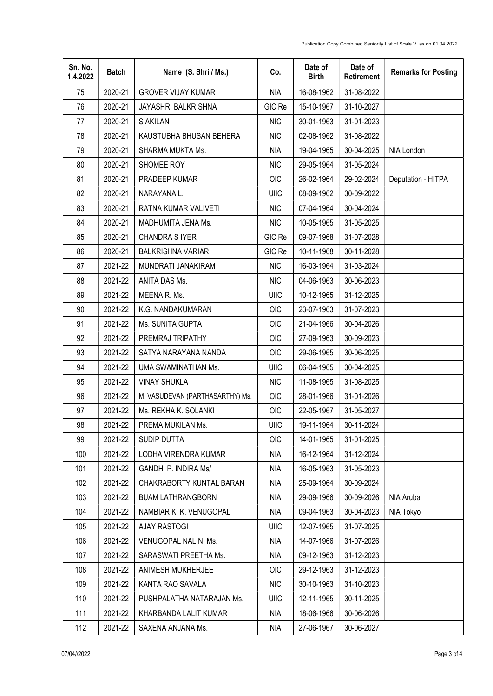| Sn. No.<br>1.4.2022 | <b>Batch</b> | Name (S. Shri / Ms.)            | Co.         | Date of<br><b>Birth</b> | Date of<br>Retirement | <b>Remarks for Posting</b> |
|---------------------|--------------|---------------------------------|-------------|-------------------------|-----------------------|----------------------------|
| 75                  | 2020-21      | <b>GROVER VIJAY KUMAR</b>       | <b>NIA</b>  | 16-08-1962              | 31-08-2022            |                            |
| 76                  | 2020-21      | JAYASHRI BALKRISHNA             | GIC Re      | 15-10-1967              | 31-10-2027            |                            |
| 77                  | 2020-21      | <b>S AKILAN</b>                 | NIC         | 30-01-1963              | 31-01-2023            |                            |
| 78                  | 2020-21      | KAUSTUBHA BHUSAN BEHERA         | <b>NIC</b>  | 02-08-1962              | 31-08-2022            |                            |
| 79                  | 2020-21      | SHARMA MUKTA Ms.                | <b>NIA</b>  | 19-04-1965              | 30-04-2025            | NIA London                 |
| 80                  | 2020-21      | SHOMEE ROY                      | <b>NIC</b>  | 29-05-1964              | 31-05-2024            |                            |
| 81                  | 2020-21      | PRADEEP KUMAR                   | <b>OIC</b>  | 26-02-1964              | 29-02-2024            | Deputation - HITPA         |
| 82                  | 2020-21      | NARAYANA L.                     | UIIC        | 08-09-1962              | 30-09-2022            |                            |
| 83                  | 2020-21      | RATNA KUMAR VALIVETI            | <b>NIC</b>  | 07-04-1964              | 30-04-2024            |                            |
| 84                  | 2020-21      | MADHUMITA JENA Ms.              | <b>NIC</b>  | 10-05-1965              | 31-05-2025            |                            |
| 85                  | 2020-21      | CHANDRA S IYER                  | GIC Re      | 09-07-1968              | 31-07-2028            |                            |
| 86                  | 2020-21      | <b>BALKRISHNA VARIAR</b>        | GIC Re      | 10-11-1968              | 30-11-2028            |                            |
| 87                  | 2021-22      | MUNDRATI JANAKIRAM              | <b>NIC</b>  | 16-03-1964              | 31-03-2024            |                            |
| 88                  | 2021-22      | ANITA DAS Ms.                   | <b>NIC</b>  | 04-06-1963              | 30-06-2023            |                            |
| 89                  | 2021-22      | MEENA R. Ms.                    | UIIC        | 10-12-1965              | 31-12-2025            |                            |
| 90                  | 2021-22      | K.G. NANDAKUMARAN               | <b>OIC</b>  | 23-07-1963              | 31-07-2023            |                            |
| 91                  | 2021-22      | Ms. SUNITA GUPTA                | <b>OIC</b>  | 21-04-1966              | 30-04-2026            |                            |
| 92                  | 2021-22      | PREMRAJ TRIPATHY                | OIC         | 27-09-1963              | 30-09-2023            |                            |
| 93                  | 2021-22      | SATYA NARAYANA NANDA            | OIC         | 29-06-1965              | 30-06-2025            |                            |
| 94                  | 2021-22      | UMA SWAMINATHAN Ms.             | UIIC        | 06-04-1965              | 30-04-2025            |                            |
| 95                  | 2021-22      | <b>VINAY SHUKLA</b>             | <b>NIC</b>  | 11-08-1965              | 31-08-2025            |                            |
| 96                  | 2021-22      | M. VASUDEVAN (PARTHASARTHY) Ms. | OIC         | 28-01-1966              | 31-01-2026            |                            |
| 97                  | 2021-22      | Ms. REKHA K. SOLANKI            | OIC         | 22-05-1967              | 31-05-2027            |                            |
| 98                  | 2021-22      | PREMA MUKILAN Ms.               | UIIC        | 19-11-1964              | 30-11-2024            |                            |
| 99                  | 2021-22      | SUDIP DUTTA                     | OIC         | 14-01-1965              | 31-01-2025            |                            |
| 100                 | 2021-22      | LODHA VIRENDRA KUMAR            | <b>NIA</b>  | 16-12-1964              | 31-12-2024            |                            |
| 101                 | 2021-22      | <b>GANDHI P. INDIRA Ms/</b>     | <b>NIA</b>  | 16-05-1963              | 31-05-2023            |                            |
| 102                 | 2021-22      | CHAKRABORTY KUNTAL BARAN        | <b>NIA</b>  | 25-09-1964              | 30-09-2024            |                            |
| 103                 | 2021-22      | <b>BUAM LATHRANGBORN</b>        | <b>NIA</b>  | 29-09-1966              | 30-09-2026            | NIA Aruba                  |
| 104                 | 2021-22      | NAMBIAR K. K. VENUGOPAL         | <b>NIA</b>  | 09-04-1963              | 30-04-2023            | NIA Tokyo                  |
| 105                 | 2021-22      | <b>AJAY RASTOGI</b>             | UIIC        | 12-07-1965              | 31-07-2025            |                            |
| 106                 | 2021-22      | VENUGOPAL NALINI Ms.            | <b>NIA</b>  | 14-07-1966              | 31-07-2026            |                            |
| 107                 | 2021-22      | SARASWATI PREETHA Ms.           | <b>NIA</b>  | 09-12-1963              | 31-12-2023            |                            |
| 108                 | 2021-22      | ANIMESH MUKHERJEE               | <b>OIC</b>  | 29-12-1963              | 31-12-2023            |                            |
| 109                 | 2021-22      | KANTA RAO SAVALA                | <b>NIC</b>  | 30-10-1963              | 31-10-2023            |                            |
| 110                 | 2021-22      | PUSHPALATHA NATARAJAN Ms.       | <b>UIIC</b> | 12-11-1965              | 30-11-2025            |                            |
| 111                 | 2021-22      | KHARBANDA LALIT KUMAR           | <b>NIA</b>  | 18-06-1966              | 30-06-2026            |                            |
| 112                 | 2021-22      | SAXENA ANJANA Ms.               | NIA         | 27-06-1967              | 30-06-2027            |                            |